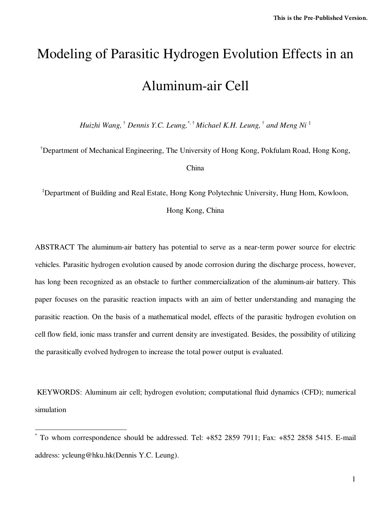# Modeling of Parasitic Hydrogen Evolution Effects in an Aluminum-air Cell

*Huizhi Wang,* † *Dennis Y.C. Leung,*\*, † *Michael K.H. Leung,* †  *and Meng Ni* ‡

†Department of Mechanical Engineering, The University of Hong Kong, Pokfulam Road, Hong Kong, China

‡Department of Building and Real Estate, Hong Kong Polytechnic University, Hung Hom, Kowloon,

Hong Kong, China

ABSTRACT The aluminum-air battery has potential to serve as a near-term power source for electric vehicles. Parasitic hydrogen evolution caused by anode corrosion during the discharge process, however, has long been recognized as an obstacle to further commercialization of the aluminum-air battery. This paper focuses on the parasitic reaction impacts with an aim of better understanding and managing the parasitic reaction. On the basis of a mathematical model, effects of the parasitic hydrogen evolution on cell flow field, ionic mass transfer and current density are investigated. Besides, the possibility of utilizing the parasitically evolved hydrogen to increase the total power output is evaluated.

 KEYWORDS: Aluminum air cell; hydrogen evolution; computational fluid dynamics (CFD); numerical simulation

 $\overline{a}$ 

<sup>\*</sup> To whom correspondence should be addressed. Tel: +852 2859 7911; Fax: +852 2858 5415. E-mail address: ycleung@hku.hk(Dennis Y.C. Leung).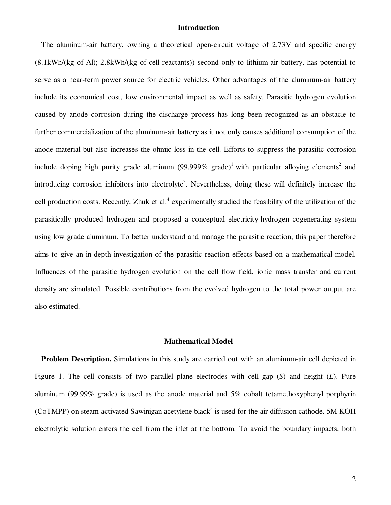#### **Introduction**

The aluminum-air battery, owning a theoretical open-circuit voltage of 2.73V and specific energy (8.1kWh/(kg of Al); 2.8kWh/(kg of cell reactants)) second only to lithium-air battery, has potential to serve as a near-term power source for electric vehicles. Other advantages of the aluminum-air battery include its economical cost, low environmental impact as well as safety. Parasitic hydrogen evolution caused by anode corrosion during the discharge process has long been recognized as an obstacle to further commercialization of the aluminum-air battery as it not only causes additional consumption of the anode material but also increases the ohmic loss in the cell. Efforts to suppress the parasitic corrosion include doping high purity grade aluminum (99.999% grade)<sup>1</sup> with particular alloying elements<sup>2</sup> and introducing corrosion inhibitors into electrolyte<sup>3</sup>. Nevertheless, doing these will definitely increase the cell production costs. Recently, Zhuk et al.<sup>4</sup> experimentally studied the feasibility of the utilization of the parasitically produced hydrogen and proposed a conceptual electricity-hydrogen cogenerating system using low grade aluminum. To better understand and manage the parasitic reaction, this paper therefore aims to give an in-depth investigation of the parasitic reaction effects based on a mathematical model. Influences of the parasitic hydrogen evolution on the cell flow field, ionic mass transfer and current density are simulated. Possible contributions from the evolved hydrogen to the total power output are also estimated.

### **Mathematical Model**

**Problem Description.** Simulations in this study are carried out with an aluminum-air cell depicted in Figure 1. The cell consists of two parallel plane electrodes with cell gap (*S*) and height (*L*). Pure aluminum (99.99% grade) is used as the anode material and 5% cobalt tetamethoxyphenyl porphyrin (CoTMPP) on steam-activated Sawinigan acetylene black<sup>5</sup> is used for the air diffusion cathode. 5M KOH electrolytic solution enters the cell from the inlet at the bottom. To avoid the boundary impacts, both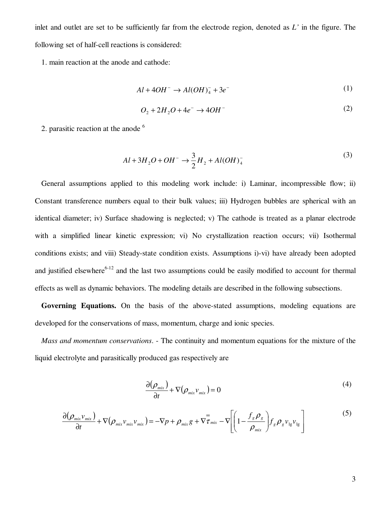inlet and outlet are set to be sufficiently far from the electrode region, denoted as *L'* in the figure. The following set of half-cell reactions is considered:

1. main reaction at the anode and cathode:

$$
Al + 4OH^- \rightarrow Al(OH)_4^- + 3e^-
$$
 (1)

$$
O_2 + 2H_2O + 4e^- \rightarrow 4OH^-
$$
 (2)

2. parasitic reaction at the anode  $<sup>6</sup>$ </sup>

$$
Al + 3H_2O + OH^- \rightarrow \frac{3}{2}H_2 + Al(OH)_4^-
$$
 (3)

General assumptions applied to this modeling work include: i) Laminar, incompressible flow; ii) Constant transference numbers equal to their bulk values; iii) Hydrogen bubbles are spherical with an identical diameter; iv) Surface shadowing is neglected; v) The cathode is treated as a planar electrode with a simplified linear kinetic expression; vi) No crystallization reaction occurs; vii) Isothermal conditions exists; and viii) Steady-state condition exists. Assumptions i)-vi) have already been adopted and justified elsewhere<sup>6-12</sup> and the last two assumptions could be easily modified to account for thermal effects as well as dynamic behaviors. The modeling details are described in the following subsections.

**Governing Equations.** On the basis of the above-stated assumptions, modeling equations are developed for the conservations of mass, momentum, charge and ionic species.

*Mass and momentum conservations*. - The continuity and momentum equations for the mixture of the liquid electrolyte and parasitically produced gas respectively are

$$
\frac{\partial(\rho_{mix})}{\partial t} + \nabla(\rho_{mix}\nu_{mix}) = 0
$$
\n(4)

$$
\frac{\partial(\rho_{mix}\nu_{mix})}{\partial t} + \nabla(\rho_{mix}\nu_{mix}\nu_{mix}) = -\nabla p + \rho_{mix}g + \nabla\overline{\tau}_{mix} - \nabla\left[\left(1 - \frac{f_g \rho_g}{\rho_{mix}}\right) f_g \rho_g \nu_{lg} \nu_{lg}\right]
$$
(5)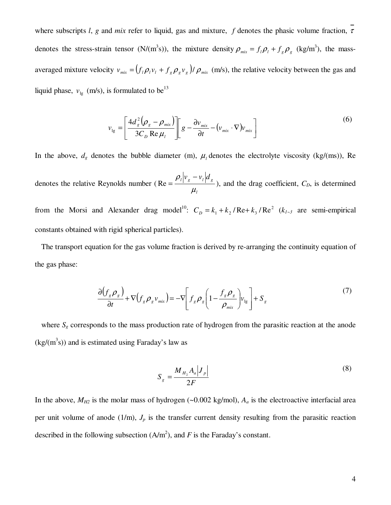where subscripts *l*, *g* and *mix* refer to liquid, gas and mixture, *f* denotes the phasic volume fraction,  $\overline{\tau}$ denotes the stress-strain tensor (N/(m<sup>3</sup>s)), the mixture density  $\rho_{mix} = f_l \rho_l + f_s \rho_g$  (kg/m<sup>3</sup>), the massaveraged mixture velocity  $v_{mix} = (f_i \rho_i v_i + f_s \rho_s v_s) / \rho_{mix}$  (m/s), the relative velocity between the gas and liquid phase,  $v_{1g}$  (m/s), is formulated to be<sup>13</sup>

$$
v_{lg} = \left[ \frac{4d_s^2 (\rho_g - \rho_{mix})}{3C_D \text{ Re } \mu_l} \right] \left[ g - \frac{\partial v_{mix}}{\partial t} - (v_{mix} \cdot \nabla) v_{mix} \right]
$$
(6)

In the above,  $d_g$  denotes the bubble diameter (m),  $\mu_l$  denotes the electrolyte viscosity (kg/(ms)), Re denotes the relative Reynolds number ( *l*  $\int_l \left| v_g - v_l \right| d_g$  $\mu_{_{\text{\tiny{j}}}}$  $\rho_{\scriptscriptstyle l}|_{\mathcal{V}_{\scriptscriptstyle \varrho}}$  –  $Re = \frac{P_1 + B_2}{P_1 + P_2}$ , and the drag coefficient,  $C_D$ , is determined from the Morsi and Alexander drag model<sup>10</sup>:  $C_p = k_1 + k_2 / \text{Re} + k_3 / \text{Re}^2$  ( $k_{1-3}$  are semi-empirical constants obtained with rigid spherical particles).

The transport equation for the gas volume fraction is derived by re-arranging the continuity equation of the gas phase:

$$
\frac{\partial (f_s \rho_s)}{\partial t} + \nabla (f_s \rho_s v_{mix}) = -\nabla \bigg[ f_s \rho_s \bigg( 1 - \frac{f_s \rho_s}{\rho_{mix}} \bigg) v_{lg} \bigg] + S_g \tag{7}
$$

where  $S_g$  corresponds to the mass production rate of hydrogen from the parasitic reaction at the anode  $(kg/(m^3s))$  and is estimated using Faraday's law as

$$
S_g = \frac{M_{H_2} A_a |J_p|}{2F}
$$
 (8)

In the above,  $M_{H2}$  is the molar mass of hydrogen (~0.002 kg/mol),  $A_a$  is the electroactive interfacial area per unit volume of anode  $(1/m)$ ,  $J_p$  is the transfer current density resulting from the parasitic reaction described in the following subsection  $(A/m^2)$ , and *F* is the Faraday's constant.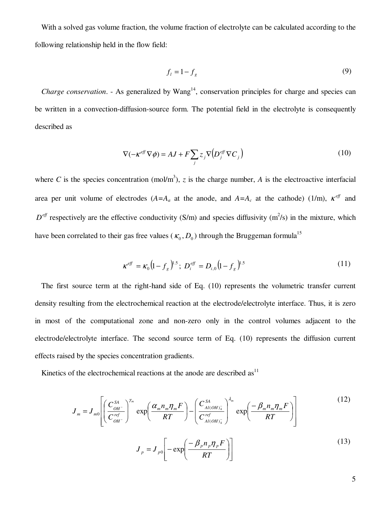With a solved gas volume fraction, the volume fraction of electrolyte can be calculated according to the following relationship held in the flow field:

$$
f_l = 1 - f_g \tag{9}
$$

*Charge conservation.* - As generalized by  $Wang<sup>14</sup>$ , conservation principles for charge and species can be written in a convection-diffusion-source form. The potential field in the electrolyte is consequently described as

$$
\nabla(-\kappa^{\text{eff}}\nabla\phi) = AJ + F\sum_{j} z_j \nabla(D_j^{\text{eff}}\nabla C_j)
$$
\n(10)

where C is the species concentration (mol/m<sup>3</sup>), z is the charge number, A is the electroactive interfacial area per unit volume of electrodes  $(A=A_a$  at the anode, and  $A=A_c$  at the cathode) (1/m),  $K^{eff}$  and  $D<sup>eff</sup>$  respectively are the effective conductivity (S/m) and species diffusivity (m<sup>2</sup>/s) in the mixture, which have been correlated to their gas free values ( $\kappa_0$ ,  $D_0$ ) through the Bruggeman formula<sup>15</sup>

$$
\kappa^{eff} = \kappa_0 \left( 1 - f_g \right)^{1.5}; \ D_i^{eff} = D_{i,0} \left( 1 - f_g \right)^{1.5} \tag{11}
$$

The first source term at the right-hand side of Eq. (10) represents the volumetric transfer current density resulting from the electrochemical reaction at the electrode/electrolyte interface. Thus, it is zero in most of the computational zone and non-zero only in the control volumes adjacent to the electrode/electrolyte interface. The second source term of Eq. (10) represents the diffusion current effects raised by the species concentration gradients.

Kinetics of the electrochemical reactions at the anode are described  $as<sup>11</sup>$ 

$$
J_m = J_{m0} \left[ \left( \frac{C_{OH^-}^{SA}}{C_{OH^-}^{ref}} \right)^{\gamma_m} \exp\left( \frac{\alpha_m n_m \eta_m F}{RT} \right) - \left( \frac{C_{Al(OH)_{4}^-}^{SA}}{C_{Al(OH)_{4}^-}^{ref}} \right)^{\lambda_m} \exp\left( \frac{-\beta_m n_m \eta_m F}{RT} \right) \right]
$$
(12)  

$$
J_p = J_{p0} \left[ -\exp\left( \frac{-\beta_p n_p \eta_p F}{RT} \right) \right]
$$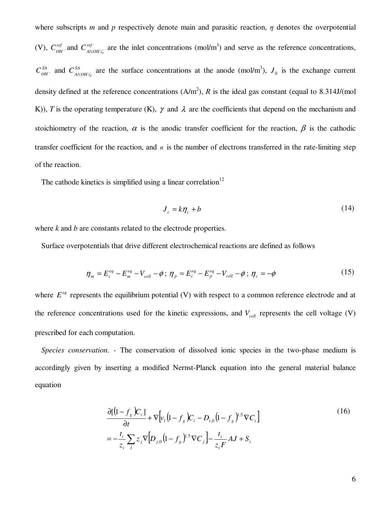where subscripts *m* and *p* respectively denote main and parasitic reaction,  $\eta$  denotes the overpotential (V),  $C_{OH}^{ref}$  and  $C_{Al(OH)^{-}_{4}}^{ref}$  are the inlet concentrations (mol/m<sup>3</sup>) and serve as the reference concentrations,  $C_{OH}^{SA}$  and  $C_{Al(OH)_{4}^{-}}^{SA}$  are the surface concentrations at the anode (mol/m<sup>3</sup>),  $J_0$  is the exchange current density defined at the reference concentrations  $(A/m^2)$ , *R* is the ideal gas constant (equal to 8.314J/(mol K)), *T* is the operating temperature (K),  $\gamma$  and  $\lambda$  are the coefficients that depend on the mechanism and stoichiometry of the reaction,  $\alpha$  is the anodic transfer coefficient for the reaction,  $\beta$  is the cathodic transfer coefficient for the reaction, and *n* is the number of electrons transferred in the rate-limiting step of the reaction.

The cathode kinetics is simplified using a linear correlation<sup>12</sup>

$$
J_c = k\eta_c + b \tag{14}
$$

where *k* and *b* are constants related to the electrode properties.

Surface overpotentials that drive different electrochemical reactions are defined as follows

$$
\eta_m = E_c^{eq} - E_m^{eq} - V_{cell} - \phi \; ; \; \eta_p = E_c^{eq} - E_p^{eq} - V_{cell} - \phi \; ; \; \eta_c = -\phi \tag{15}
$$

where  $E^{eq}$  represents the equilibrium potential (V) with respect to a common reference electrode and at the reference concentrations used for the kinetic expressions, and *Vcell* represents the cell voltage (V) prescribed for each computation.

*Species conservation. -* The conservation of dissolved ionic species in the two-phase medium is accordingly given by inserting a modified Nernst-Planck equation into the general material balance equation

$$
\frac{\partial [(\mathbf{I} - f_s)\mathbf{C}_i]}{\partial t} + \nabla [\mathbf{v}_i(\mathbf{I} - f_s)\mathbf{C}_i - D_{i,0}(\mathbf{I} - f_s)^{1.5}\nabla C_i]
$$
\n
$$
= -\frac{t_i}{z_i} \sum_j z_j \nabla [D_{j,0}(\mathbf{I} - f_s)^{1.5}\nabla C_j] - \frac{t_i}{z_i F} AJ + S_i
$$
\n(16)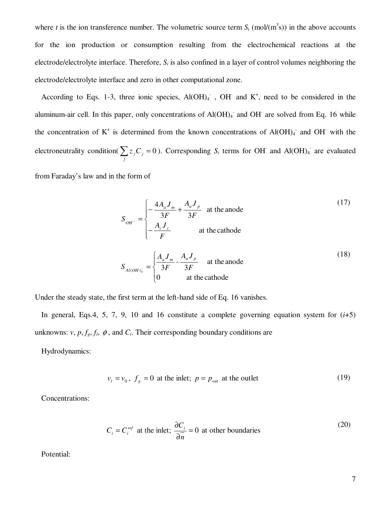where *t* is the ion transference number. The volumetric source term  $S_i$  (mol/( $m<sup>3</sup>s$ )) in the above accounts for the ion production or consumption resulting from the electrochemical reactions at the electrode/electrolyte interface. Therefore, *S<sup>i</sup>* is also confined in a layer of control volumes neighboring the electrode/electrolyte interface and zero in other computational zone.

According to Eqs. 1-3, three ionic species,  $Al(OH)_4$ ,  $OH$  and  $K^+$ , need to be considered in the aluminum-air cell. In this paper, only concentrations of Al(OH)<sub>4</sub> and OH are solved from Eq. 16 while the concentration of  $K^+$  is determined from the known concentrations of Al(OH)<sub>4</sub> and OH with the electroneutrality condition( $\sum z_j C_j$  = *j*  $z_jC_j = 0$ ). Corresponding *S<sub>i</sub>* terms for OH<sup>-</sup> and Al(OH)<sub>4</sub><sup>-</sup> are evaluated

from Faraday's law and in the form of

$$
S_{OH^-} = \begin{cases} -\frac{4A_a J_m}{3F} + \frac{A_a J_p}{3F} & \text{at the anode} \\ -\frac{A_c J_c}{F} & \text{at the cathode} \end{cases}
$$
(17)  

$$
S_{A l(OH)^{-}_{4}} = \begin{cases} \frac{A_a J_m}{3F} - \frac{A_a J_p}{3F} & \text{at the anode} \\ 0 & \text{at the cathode} \end{cases}
$$
(18)

Under the steady state, the first term at the left-hand side of Eq. 16 vanishes.

In general, Eqs.4, 5, 7, 9, 10 and 16 constitute a complete governing equation system for  $(i+5)$ unknowns:  $v$ ,  $p$ ,  $f_g$ ,  $f_l$ ,  $\phi$ , and  $C_i$ . Their corresponding boundary conditions are

Hydrodynamics:

$$
v_l = v_0, f_s = 0 \text{ at the inlet}; p = p_{out} \text{ at the outlet}
$$
 (19)

Concentrations:

$$
C_i = C_i^{ref}
$$
 at the inlet;  $\frac{\partial C_i}{\partial \overline{n}} = 0$  at other boundaries (20)

Potential: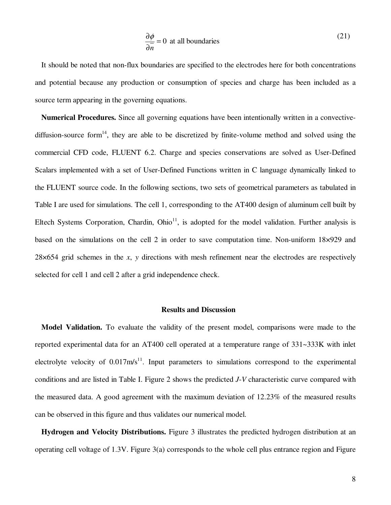$$
\frac{\partial \phi}{\partial \overline{n}} = 0 \text{ at all boundaries}
$$
 (21)

It should be noted that non-flux boundaries are specified to the electrodes here for both concentrations and potential because any production or consumption of species and charge has been included as a source term appearing in the governing equations.

**Numerical Procedures.** Since all governing equations have been intentionally written in a convectivediffusion-source form<sup>14</sup>, they are able to be discretized by finite-volume method and solved using the commercial CFD code, FLUENT 6.2. Charge and species conservations are solved as User-Defined Scalars implemented with a set of User-Defined Functions written in C language dynamically linked to the FLUENT source code. In the following sections, two sets of geometrical parameters as tabulated in Table I are used for simulations. The cell 1, corresponding to the AT400 design of aluminum cell built by Eltech Systems Corporation, Chardin, Ohio<sup>11</sup>, is adopted for the model validation. Further analysis is based on the simulations on the cell 2 in order to save computation time. Non-uniform 18×929 and 28×654 grid schemes in the *x*, *y* directions with mesh refinement near the electrodes are respectively selected for cell 1 and cell 2 after a grid independence check.

#### **Results and Discussion**

**Model Validation.** To evaluate the validity of the present model, comparisons were made to the reported experimental data for an AT400 cell operated at a temperature range of 331~333K with inlet electrolyte velocity of  $0.017 \text{m/s}^{11}$ . Input parameters to simulations correspond to the experimental conditions and are listed in Table I. Figure 2 shows the predicted *J*-*V* characteristic curve compared with the measured data. A good agreement with the maximum deviation of 12.23% of the measured results can be observed in this figure and thus validates our numerical model.

**Hydrogen and Velocity Distributions.** Figure 3 illustrates the predicted hydrogen distribution at an operating cell voltage of 1.3V. Figure 3(a) corresponds to the whole cell plus entrance region and Figure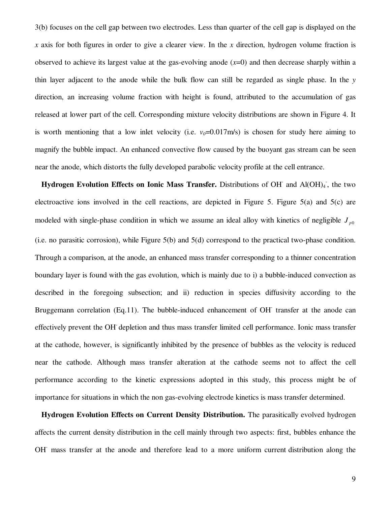3(b) focuses on the cell gap between two electrodes. Less than quarter of the cell gap is displayed on the *x* axis for both figures in order to give a clearer view. In the *x* direction, hydrogen volume fraction is observed to achieve its largest value at the gas-evolving anode  $(x=0)$  and then decrease sharply within a thin layer adjacent to the anode while the bulk flow can still be regarded as single phase. In the *y* direction, an increasing volume fraction with height is found, attributed to the accumulation of gas released at lower part of the cell. Corresponding mixture velocity distributions are shown in Figure 4. It is worth mentioning that a low inlet velocity (i.e.  $v_0$ =0.017m/s) is chosen for study here aiming to magnify the bubble impact. An enhanced convective flow caused by the buoyant gas stream can be seen near the anode, which distorts the fully developed parabolic velocity profile at the cell entrance.

Hydrogen Evolution Effects on Ionic Mass Transfer. Distributions of OH and Al(OH)<sub>4</sub>, the two electroactive ions involved in the cell reactions, are depicted in Figure 5. Figure 5(a) and 5(c) are modeled with single-phase condition in which we assume an ideal alloy with kinetics of negligible  $J_{p0}$ (i.e. no parasitic corrosion), while Figure 5(b) and 5(d) correspond to the practical two-phase condition. Through a comparison, at the anode, an enhanced mass transfer corresponding to a thinner concentration boundary layer is found with the gas evolution, which is mainly due to i) a bubble-induced convection as described in the foregoing subsection; and ii) reduction in species diffusivity according to the Bruggemann correlation (Eq.11). The bubble-induced enhancement of OH transfer at the anode can effectively prevent the OH- depletion and thus mass transfer limited cell performance. Ionic mass transfer at the cathode, however, is significantly inhibited by the presence of bubbles as the velocity is reduced near the cathode. Although mass transfer alteration at the cathode seems not to affect the cell performance according to the kinetic expressions adopted in this study, this process might be of importance for situations in which the non gas-evolving electrode kinetics is mass transfer determined.

**Hydrogen Evolution Effects on Current Density Distribution.** The parasitically evolved hydrogen affects the current density distribution in the cell mainly through two aspects: first, bubbles enhance the OH<sup>-</sup> mass transfer at the anode and therefore lead to a more uniform current distribution along the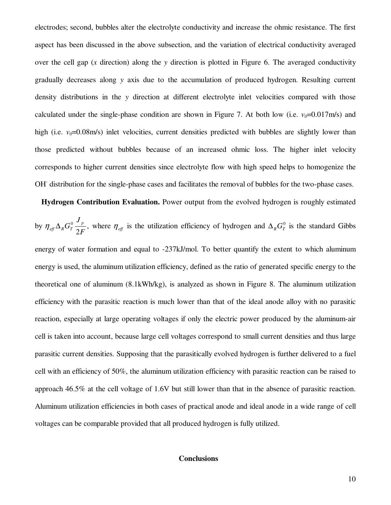electrodes; second, bubbles alter the electrolyte conductivity and increase the ohmic resistance. The first aspect has been discussed in the above subsection, and the variation of electrical conductivity averaged over the cell gap (*x* direction) along the *y* direction is plotted in Figure 6. The averaged conductivity gradually decreases along *y* axis due to the accumulation of produced hydrogen. Resulting current density distributions in the *y* direction at different electrolyte inlet velocities compared with those calculated under the single-phase condition are shown in Figure 7. At both low (i.e.  $v_0$ =0.017m/s) and high (i.e. *v*<sub>0</sub>=0.08m/s) inlet velocities, current densities predicted with bubbles are slightly lower than those predicted without bubbles because of an increased ohmic loss. The higher inlet velocity corresponds to higher current densities since electrolyte flow with high speed helps to homogenize the OH<sup>-</sup> distribution for the single-phase cases and facilitates the removal of bubbles for the two-phase cases.

**Hydrogen Contribution Evaluation.** Power output from the evolved hydrogen is roughly estimated by *F J*  $G_T^0 \frac{J_p}{2\pi}$  $\eta_{\text{eff}} \Delta_R G_T^0 \frac{\partial^2 p}{\partial F}$ , where  $\eta_{\text{eff}}$  is the utilization efficiency of hydrogen and  $\Delta_R G_T^0$  is the standard Gibbs energy of water formation and equal to -237kJ/mol. To better quantify the extent to which aluminum energy is used, the aluminum utilization efficiency, defined as the ratio of generated specific energy to the theoretical one of aluminum (8.1kWh/kg), is analyzed as shown in Figure 8. The aluminum utilization efficiency with the parasitic reaction is much lower than that of the ideal anode alloy with no parasitic reaction, especially at large operating voltages if only the electric power produced by the aluminum-air cell is taken into account, because large cell voltages correspond to small current densities and thus large parasitic current densities. Supposing that the parasitically evolved hydrogen is further delivered to a fuel cell with an efficiency of 50%, the aluminum utilization efficiency with parasitic reaction can be raised to approach 46.5% at the cell voltage of 1.6V but still lower than that in the absence of parasitic reaction. Aluminum utilization efficiencies in both cases of practical anode and ideal anode in a wide range of cell voltages can be comparable provided that all produced hydrogen is fully utilized.

## **Conclusions**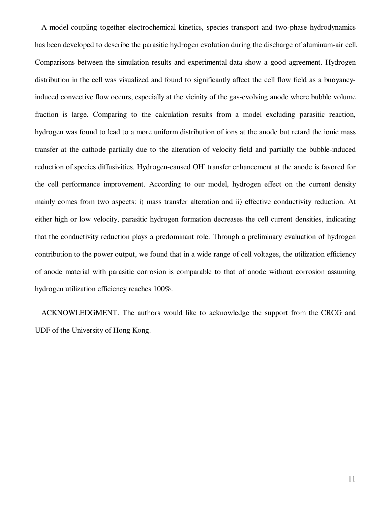A model coupling together electrochemical kinetics, species transport and two-phase hydrodynamics has been developed to describe the parasitic hydrogen evolution during the discharge of aluminum-air cell. Comparisons between the simulation results and experimental data show a good agreement. Hydrogen distribution in the cell was visualized and found to significantly affect the cell flow field as a buoyancyinduced convective flow occurs, especially at the vicinity of the gas-evolving anode where bubble volume fraction is large. Comparing to the calculation results from a model excluding parasitic reaction, hydrogen was found to lead to a more uniform distribution of ions at the anode but retard the ionic mass transfer at the cathode partially due to the alteration of velocity field and partially the bubble-induced reduction of species diffusivities. Hydrogen-caused OH transfer enhancement at the anode is favored for the cell performance improvement. According to our model, hydrogen effect on the current density mainly comes from two aspects: i) mass transfer alteration and ii) effective conductivity reduction. At either high or low velocity, parasitic hydrogen formation decreases the cell current densities, indicating that the conductivity reduction plays a predominant role. Through a preliminary evaluation of hydrogen contribution to the power output, we found that in a wide range of cell voltages, the utilization efficiency of anode material with parasitic corrosion is comparable to that of anode without corrosion assuming hydrogen utilization efficiency reaches 100%.

ACKNOWLEDGMENT. The authors would like to acknowledge the support from the CRCG and UDF of the University of Hong Kong.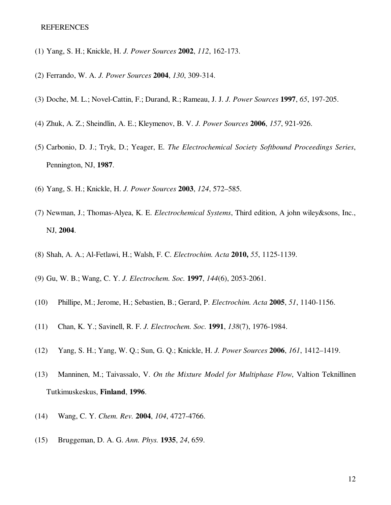- (1) Yang, S. H.; Knickle, H. *J. Power Sources* **2002**, *112*, 162-173.
- (2) Ferrando, W. A. *J. Power Sources* **2004**, *130*, 309-314.
- (3) Doche, M. L.; Novel-Cattin, F.; Durand, R.; Rameau, J. J. *J. Power Sources* **1997**, *65*, 197-205.
- (4) Zhuk, A. Z.; Sheindlin, A. E.; Kleymenov, B. V. *J. Power Sources* **2006**, *157*, 921-926.
- (5) Carbonio, D. J.; Tryk, D.; Yeager, E. *The Electrochemical Society Softbound Proceedings Series*, Pennington, NJ, **1987**.
- (6) Yang, S. H.; Knickle, H. *J. Power Sources* **2003**, *124*, 572–585.
- (7) Newman, J.; Thomas-Alyea, K. E. *Electrochemical Systems*, Third edition, A john wiley&sons, Inc., NJ, **2004**.
- (8) Shah, A. A.; Al-Fetlawi, H.; Walsh, F. C. *Electrochim. Acta* **2010,** *55*, 1125-1139.
- (9) Gu, W. B.; Wang, C. Y. *J. Electrochem. Soc.* **1997**, *144*(6), 2053-2061.
- (10) Phillipe, M.; Jerome, H.; Sebastien, B.; Gerard, P. *Electrochim. Acta* **2005**, *51*, 1140-1156.
- (11) Chan, K. Y.; Savinell, R. F. *J. Electrochem. Soc.* **1991**, *138*(7), 1976-1984.
- (12) Yang, S. H.; Yang, W. Q.; Sun, G. Q.; Knickle, H. *J. Power Sources* **2006**, *161*, 1412–1419.
- (13) Manninen, M.; Taivassalo, V. *On the Mixture Model for Multiphase Flow*, Valtion Teknillinen Tutkimuskeskus, **Finland**, **1996**.
- (14) Wang, C. Y. *Chem. Rev.* **2004**, *104*, 4727-4766.
- (15) Bruggeman, D. A. G. *Ann. Phys.* **1935**, *24*, 659.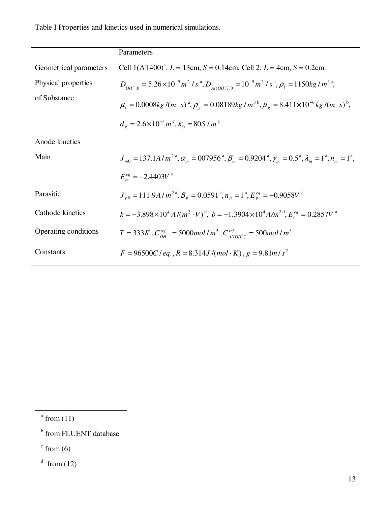Table I Properties and kinetics used in numerical simulations.

|                        | Parameters                                                                                                                       |
|------------------------|----------------------------------------------------------------------------------------------------------------------------------|
| Geometrical parameters | Cell $1(AT400)^{a}$ : $L = 13cm$ , $S = 0.14cm$ ; Cell 2: $L = 4cm$ , $S = 0.2cm$ .                                              |
| Physical properties    | $D_{OH^-0} = 5.26 \times 10^{-9} m^2/s^3$ , $D_{Al(OH)1} = 10^{-9} m^2/s^3$ , $\rho_l = 1150 kg/m^{3a}$ ,                        |
| of Substance           | $\mu_{\iota} = 0.0008kg/(m \cdot s)^{a}, \rho_{\iota} = 0.08189kg/m^{3b}, \mu_{\iota} = 8.411 \times 10^{-6}kg/(m \cdot s)^{b},$ |
|                        | $d_e = 2.6 \times 10^{-5} m^{\circ}$ , $\kappa_0 = 80 S/m^{\circ}$                                                               |
| Anode kinetics         |                                                                                                                                  |
| Main                   | $J_{m0} = 137.1A/m^{2a}, \alpha_m = 007956^a, \beta_m = 0.9204^a, \gamma_m = 0.5^a, \lambda_m = 1^a, n_m = 1^a,$                 |
|                        | $E_m^{eq} = -2.4403V^{a}$                                                                                                        |
| Parasitic              | $J_{p0} = 111.9A/m^{2a}, \beta_{p} = 0.0591^{a}, n_{p} = 1^{a}, E_{p}^{eq} = -0.9058V^{a}$                                       |
| Cathode kinetics       | $k = -3.898 \times 10^{4} A/(m^{2} \cdot V)^{d}$ , $b = -1.3904 \times 10^{4} A/m^{2}$ , $E_{c}^{eq} = 0.2857 V^{a}$             |
| Operating conditions   | $T = 333K$ , $C_{OH^-}^{ref} = 5000$ mol / $m^3$ , $C_{Al(OH)_+}^{ref} = 500$ mol / $m^3$                                        |
| Constants              | $F = 96500C$ / eq., $R = 8.314J$ /(mol·K), $g = 9.81m/s^2$                                                                       |

 $^{\circ}$  from (11)

 $\overline{a}$ 

 $\text{from} (6)$ 

 $\rm{d}$  from (12)

**b** from FLUENT database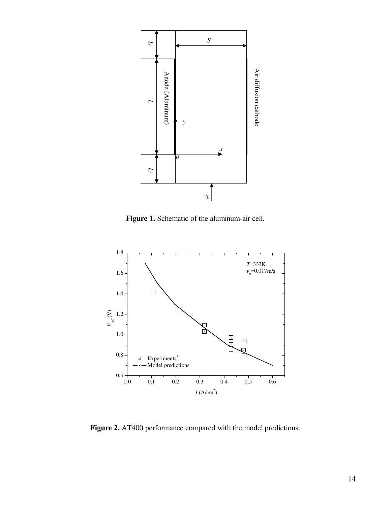

**Figure 1.** Schematic of the aluminum-air cell.



**Figure 2.** AT400 performance compared with the model predictions.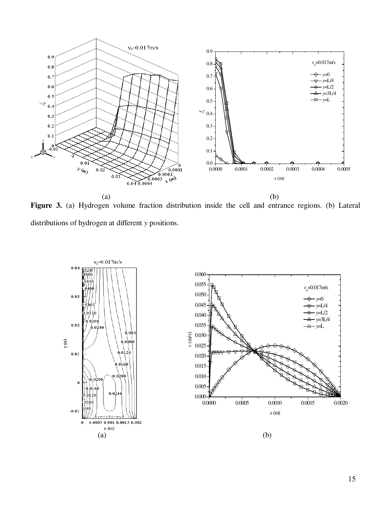

**Figure 3.** (a) Hydrogen volume fraction distribution inside the cell and entrance regions. (b) Lateral distributions of hydrogen at different *y* positions.

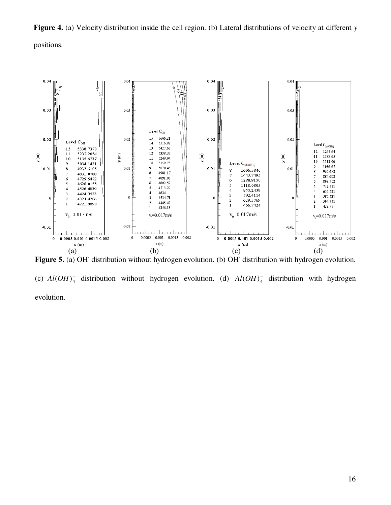**Figure 4.** (a) Velocity distribution inside the cell region. (b) Lateral distributions of velocity at different *y* positions.



Figure 5. (a) OH distribution without hydrogen evolution. (b) OH distribution with hydrogen evolution. (c)  $Al(OH)_4^-$  distribution without hydrogen evolution. (d)  $Al(OH)_4^-$  distribution with hydrogen evolution.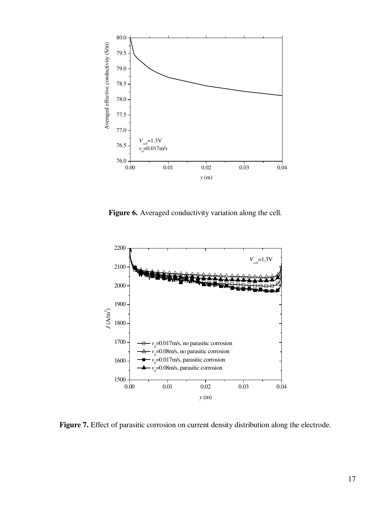

**Figure 6.** Averaged conductivity variation along the cell.



**Figure 7.** Effect of parasitic corrosion on current density distribution along the electrode.